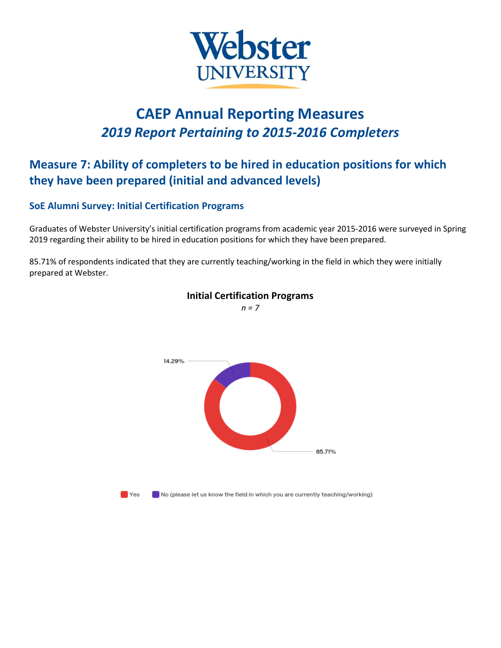

# **CAEP Annual Reporting Measures** *2019 Report Pertaining to 2015-2016 Completers*

# **Measure 7: Ability of completers to be hired in education positions for which they have been prepared (initial and advanced levels)**

### **SoE Alumni Survey: Initial Certification Programs**

Graduates of Webster University's initial certification programs from academic year 2015-2016 were surveyed in Spring 2019 regarding their ability to be hired in education positions for which they have been prepared.

85.71% of respondents indicated that they are currently teaching/working in the field in which they were initially prepared at Webster.



## **Initial Certification Programs**

*n = 7*

 $\blacksquare$  Yes

 $\blacksquare$  No (please let us know the field in which you are currently teaching/working)